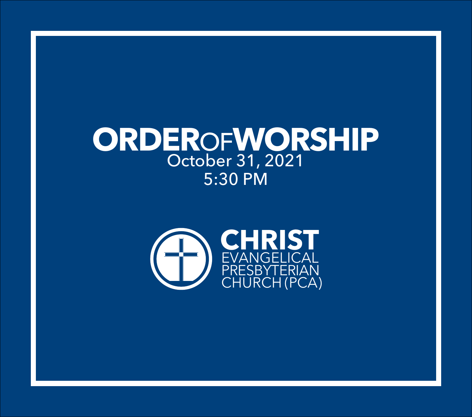# **ORDER**OF**WORSHIP** October 31, 2021 5:30 PM

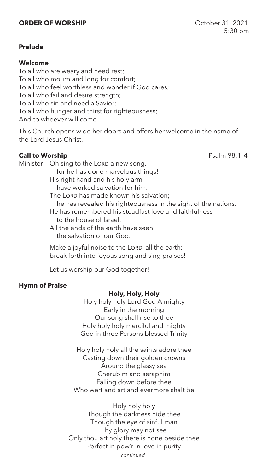# **ORDER OF WORSHIP** October 31, 2021

# **Prelude**

## **Welcome**

To all who are weary and need rest; To all who mourn and long for comfort; To all who feel worthless and wonder if God cares; To all who fail and desire strength; To all who sin and need a Savior; To all who hunger and thirst for righteousness; And to whoever will come–

This Church opens wide her doors and offers her welcome in the name of the Lord Jesus Christ.

# **Call to Worship Call to Worship Psalm 98:1-4**

Minister: Oh sing to the LORD a new song, for he has done marvelous things! His right hand and his holy arm have worked salvation for him. The LORD has made known his salvation; he has revealed his righteousness in the sight of the nations. He has remembered his steadfast love and faithfulness to the house of Israel. All the ends of the earth have seen the salvation of our God.

> Make a joyful noise to the LORD, all the earth; break forth into joyous song and sing praises!

Let us worship our God together!

#### **Hymn of Praise**

#### **Holy, Holy, Holy**

Holy holy holy Lord God Almighty Early in the morning Our song shall rise to thee Holy holy holy merciful and mighty God in three Persons blessed Trinity

Holy holy holy all the saints adore thee Casting down their golden crowns Around the glassy sea Cherubim and seraphim Falling down before thee Who wert and art and evermore shalt be

Holy holy holy Though the darkness hide thee Though the eye of sinful man Thy glory may not see Only thou art holy there is none beside thee Perfect in pow'r in love in purity

*continued*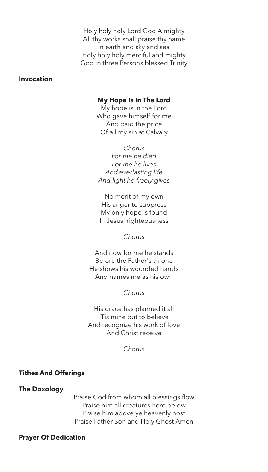Holy holy holy Lord God Almighty All thy works shall praise thy name In earth and sky and sea Holy holy holy merciful and mighty God in three Persons blessed Trinity

# **Invocation**

#### **My Hope Is In The Lord**

My hope is in the Lord Who gave himself for me And paid the price Of all my sin at Calvary

*Chorus For me he died For me he lives And everlasting life And light he freely gives*

No merit of my own His anger to suppress My only hope is found In Jesus' righteousness

#### *Chorus*

And now for me he stands Before the Father's throne He shows his wounded hands And names me as his own

*Chorus*

His grace has planned it all 'Tis mine but to believe And recognize his work of love And Christ receive

*Chorus*

## **Tithes And Offerings**

#### **The Doxology**

Praise God from whom all blessings flow Praise him all creatures here below Praise him above ye heavenly host Praise Father Son and Holy Ghost Amen

#### **Prayer Of Dedication**